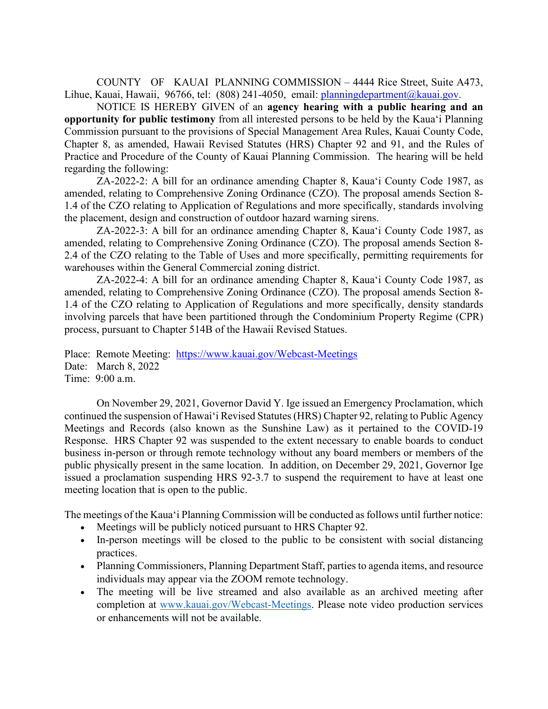COUNTY OF KAUAI PLANNING COMMISSION – 4444 Rice Street, Suite A473, Lihue, Kauai, Hawaii, 96766, tel: (808) 241-4050, email: [planningdepartment@kauai.gov.](mailto:planningdepartment@kauai.gov)

NOTICE IS HEREBY GIVEN of an **agency hearing with a public hearing and an opportunity for public testimony** from all interested persons to be held by the Kaua'i Planning Commission pursuant to the provisions of Special Management Area Rules, Kauai County Code, Chapter 8, as amended, Hawaii Revised Statutes (HRS) Chapter 92 and 91, and the Rules of Practice and Procedure of the County of Kauai Planning Commission. The hearing will be held regarding the following:

ZA-2022-2: A bill for an ordinance amending Chapter 8, Kaua'i County Code 1987, as amended, relating to Comprehensive Zoning Ordinance (CZO). The proposal amends Section 8- 1.4 of the CZO relating to Application of Regulations and more specifically, standards involving the placement, design and construction of outdoor hazard warning sirens.

ZA-2022-3: A bill for an ordinance amending Chapter 8, Kaua'i County Code 1987, as amended, relating to Comprehensive Zoning Ordinance (CZO). The proposal amends Section 8- 2.4 of the CZO relating to the Table of Uses and more specifically, permitting requirements for warehouses within the General Commercial zoning district.

ZA-2022-4: A bill for an ordinance amending Chapter 8, Kaua'i County Code 1987, as amended, relating to Comprehensive Zoning Ordinance (CZO). The proposal amends Section 8- 1.4 of the CZO relating to Application of Regulations and more specifically, density standards involving parcels that have been partitioned through the Condominium Property Regime (CPR) process, pursuant to Chapter 514B of the Hawaii Revised Statues.

Place: Remote Meeting: <https://www.kauai.gov/Webcast-Meetings> Date: March 8, 2022 Time: 9:00 a.m.

On November 29, 2021, Governor David Y. Ige issued an Emergency Proclamation, which continued the suspension of Hawai'i Revised Statutes(HRS) Chapter 92, relating to Public Agency Meetings and Records (also known as the Sunshine Law) as it pertained to the COVID-19 Response. HRS Chapter 92 was suspended to the extent necessary to enable boards to conduct business in-person or through remote technology without any board members or members of the public physically present in the same location. In addition, on December 29, 2021, Governor Ige issued a proclamation suspending HRS 92-3.7 to suspend the requirement to have at least one meeting location that is open to the public.

The meetings of the Kaua'i Planning Commission will be conducted as follows until further notice:

- Meetings will be publicly noticed pursuant to HRS Chapter 92.
- In-person meetings will be closed to the public to be consistent with social distancing practices.
- Planning Commissioners, Planning Department Staff, parties to agenda items, and resource individuals may appear via the ZOOM remote technology.
- The meeting will be live streamed and also available as an archived meeting after completion at [www.kauai.gov/Webcast-Meetings.](http://www.kauai.gov/Webcast-Meetings) Please note video production services or enhancements will not be available.